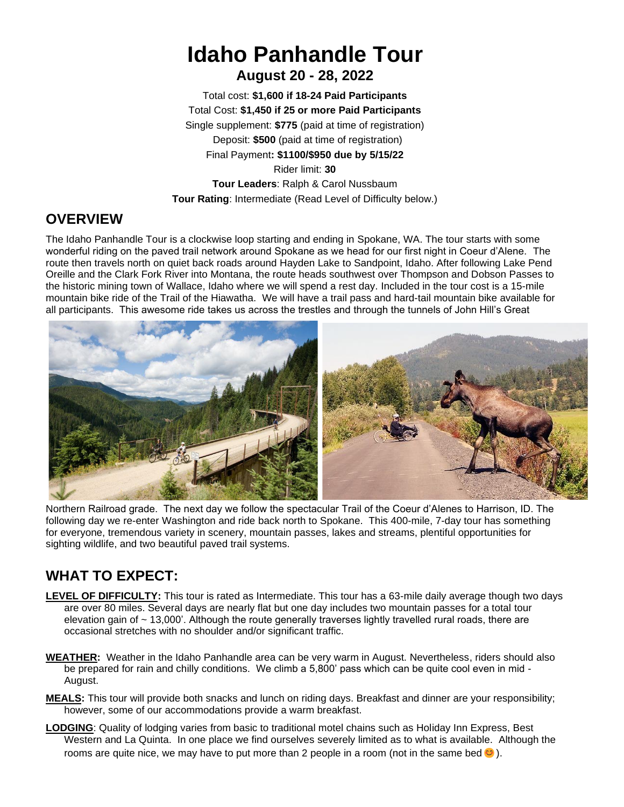## **Idaho Panhandle Tour August 20 - 28, 2022**

Total cost: **\$1,600 if 18-24 Paid Participants** Total Cost: **\$1,450 if 25 or more Paid Participants** Single supplement: **\$775** (paid at time of registration) Deposit: **\$500** (paid at time of registration) Final Payment**: \$1100/\$950 due by 5/15/22** Rider limit: **30 Tour Leaders**: Ralph & Carol Nussbaum **Tour Rating**: Intermediate (Read Level of Difficulty below.)

## **OVERVIEW**

The Idaho Panhandle Tour is a clockwise loop starting and ending in Spokane, WA. The tour starts with some wonderful riding on the paved trail network around Spokane as we head for our first night in Coeur d'Alene. The route then travels north on quiet back roads around Hayden Lake to Sandpoint, Idaho. After following Lake Pend Oreille and the Clark Fork River into Montana, the route heads southwest over Thompson and Dobson Passes to the historic mining town of Wallace, Idaho where we will spend a rest day. Included in the tour cost is a 15-mile mountain bike ride of the Trail of the Hiawatha. We will have a trail pass and hard-tail mountain bike available for all participants. This awesome ride takes us across the trestles and through the tunnels of John Hill's Great



Northern Railroad grade. The next day we follow the spectacular Trail of the Coeur d'Alenes to Harrison, ID. The following day we re-enter Washington and ride back north to Spokane. This 400-mile, 7-day tour has something for everyone, tremendous variety in scenery, mountain passes, lakes and streams, plentiful opportunities for sighting wildlife, and two beautiful paved trail systems.

## **WHAT TO EXPECT:**

- **LEVEL OF DIFFICULTY:** This tour is rated as Intermediate. This tour has a 63-mile daily average though two days are over 80 miles. Several days are nearly flat but one day includes two mountain passes for a total tour elevation gain of ~ 13,000'. Although the route generally traverses lightly travelled rural roads, there are occasional stretches with no shoulder and/or significant traffic.
- **WEATHER:** Weather in the Idaho Panhandle area can be very warm in August. Nevertheless, riders should also be prepared for rain and chilly conditions. We climb a 5,800' pass which can be quite cool even in mid - August.
- **MEALS:** This tour will provide both snacks and lunch on riding days. Breakfast and dinner are your responsibility; however, some of our accommodations provide a warm breakfast.
- **LODGING**: Quality of lodging varies from basic to traditional motel chains such as Holiday Inn Express, Best Western and La Quinta. In one place we find ourselves severely limited as to what is available. Although the rooms are quite nice, we may have to put more than 2 people in a room (not in the same bed  $\odot$ ).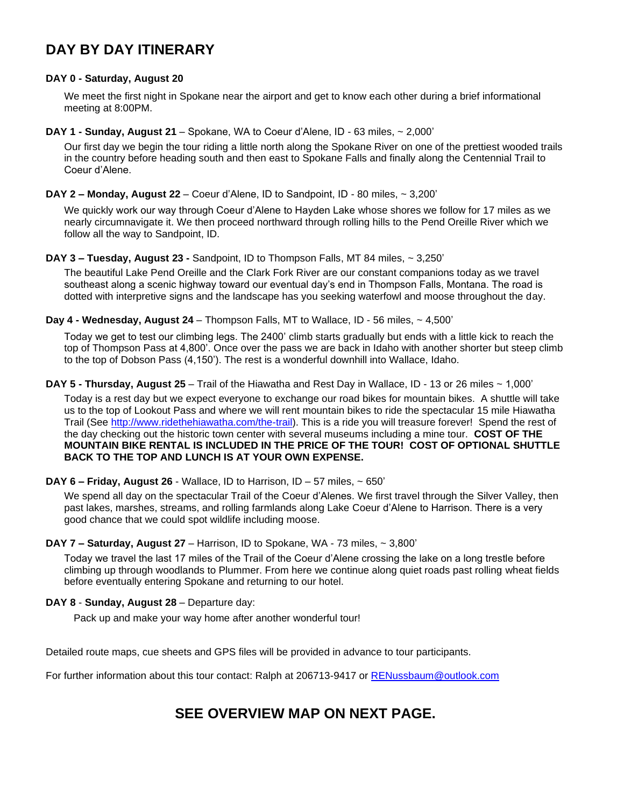## **DAY BY DAY ITINERARY**

#### **DAY 0 - Saturday, August 20**

We meet the first night in Spokane near the airport and get to know each other during a brief informational meeting at 8:00PM.

**DAY 1 - Sunday, August 21** – Spokane, WA to Coeur d'Alene, ID - 63 miles, ~ 2,000'

Our first day we begin the tour riding a little north along the Spokane River on one of the prettiest wooded trails in the country before heading south and then east to Spokane Falls and finally along the Centennial Trail to Coeur d'Alene.

#### **DAY 2 – Monday, August 22** – Coeur d'Alene, ID to Sandpoint, ID - 80 miles, ~ 3,200'

We quickly work our way through Coeur d'Alene to Hayden Lake whose shores we follow for 17 miles as we nearly circumnavigate it. We then proceed northward through rolling hills to the Pend Oreille River which we follow all the way to Sandpoint, ID.

#### **DAY 3 – Tuesday, August 23 -** Sandpoint, ID to Thompson Falls, MT 84 miles, ~ 3,250'

The beautiful Lake Pend Oreille and the Clark Fork River are our constant companions today as we travel southeast along a scenic highway toward our eventual day's end in Thompson Falls, Montana. The road is dotted with interpretive signs and the landscape has you seeking waterfowl and moose throughout the day.

#### **Day 4 - Wednesday, August 24** – Thompson Falls, MT to Wallace, ID - 56 miles, ~ 4,500'

Today we get to test our climbing legs. The 2400' climb starts gradually but ends with a little kick to reach the top of Thompson Pass at 4,800'. Once over the pass we are back in Idaho with another shorter but steep climb to the top of Dobson Pass (4,150'). The rest is a wonderful downhill into Wallace, Idaho.

**DAY 5 - Thursday, August 25** – Trail of the Hiawatha and Rest Day in Wallace, ID - 13 or 26 miles ~ 1,000'

Today is a rest day but we expect everyone to exchange our road bikes for mountain bikes. A shuttle will take us to the top of Lookout Pass and where we will rent mountain bikes to ride the spectacular 15 mile Hiawatha Trail (See [http://www.ridethehiawatha.com/the-trail\)](http://www.ridethehiawatha.com/the-trail). This is a ride you will treasure forever! Spend the rest of the day checking out the historic town center with several museums including a mine tour. **COST OF THE MOUNTAIN BIKE RENTAL IS INCLUDED IN THE PRICE OF THE TOUR! COST OF OPTIONAL SHUTTLE BACK TO THE TOP AND LUNCH IS AT YOUR OWN EXPENSE.**

#### **DAY 6 – Friday, August 26** - Wallace, ID to Harrison, ID – 57 miles, ~ 650'

We spend all day on the spectacular Trail of the Coeur d'Alenes. We first travel through the Silver Valley, then past lakes, marshes, streams, and rolling farmlands along Lake Coeur d'Alene to Harrison. There is a very good chance that we could spot wildlife including moose.

#### **DAY 7 – Saturday, August 27** – Harrison, ID to Spokane, WA - 73 miles, ~ 3,800'

Today we travel the last 17 miles of the Trail of the Coeur d'Alene crossing the lake on a long trestle before climbing up through woodlands to Plummer. From here we continue along quiet roads past rolling wheat fields before eventually entering Spokane and returning to our hotel.

#### **DAY 8** - **Sunday, August 28** – Departure day:

Pack up and make your way home after another wonderful tour!

Detailed route maps, cue sheets and GPS files will be provided in advance to tour participants.

For further information about this tour contact: Ralph at 206713-9417 or [RENussbaum@outlook.com](mailto:RENussbaum@outlook.com)

### **SEE OVERVIEW MAP ON NEXT PAGE.**